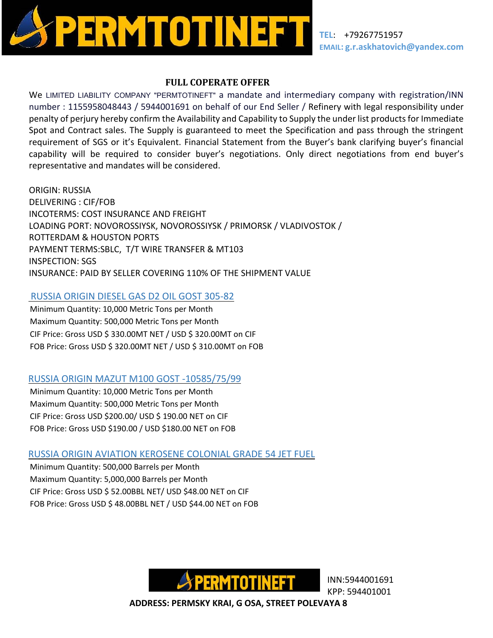

## **FULL COPERATE OFFER**

We LIMITED LIABILITY COMPANY "PERMTOTINEFT" a mandate and intermediary company with registration/INN number : 1155958048443 / 5944001691 on behalf of our End Seller / Refinery with legal responsibility under penalty of perjury hereby confirm the Availability and Capability to Supply the under list products for Immediate Spot and Contract sales. The Supply is guaranteed to meet the Specification and pass through the stringent requirement of SGS or it's Equivalent. Financial Statement from the Buyer's bank clarifying buyer's financial capability will be required to consider buyer's negotiations. Only direct negotiations from end buyer's representative and mandates will be considered.

ORIGIN: RUSSIA DELIVERING : CIF/FOB INCOTERMS: COST INSURANCE AND FREIGHT LOADING PORT: NOVOROSSIYSK, NOVOROSSIYSK / PRIMORSK / VLADIVOSTOK / ROTTERDAM & HOUSTON PORTS PAYMENT TERMS:SBLC, T/T WIRE TRANSFER & MT103 INSPECTION: SGS INSURANCE: PAID BY SELLER COVERING 110% OF THE SHIPMENT VALUE

# RUSSIA ORIGIN DIESEL GAS D2 OIL GOST 305-82

Minimum Quantity: 10,000 Metric Tons per Month Maximum Quantity: 500,000 Metric Tons per Month CIF Price: Gross USD \$ 330.00MT NET / USD \$ 320.00MT on CIF FOB Price: Gross USD \$ 320.00MT NET / USD \$ 310.00MT on FOB

# RUSSIA ORIGIN MAZUT M100 GOST -10585/75/99

Minimum Quantity: 10,000 Metric Tons per Month Maximum Quantity: 500,000 Metric Tons per Month CIF Price: Gross USD \$200.00/ USD \$ 190.00 NET on CIF FOB Price: Gross USD \$190.00 / USD \$180.00 NET on FOB

# RUSSIA ORIGIN AVIATION KEROSENE COLONIAL GRADE 54 JET FUEL

Minimum Quantity: 500,000 Barrels per Month Maximum Quantity: 5,000,000 Barrels per Month CIF Price: Gross USD \$ 52.00BBL NET/ USD \$48.00 NET on CIF FOB Price: Gross USD \$ 48.00BBL NET / USD \$44.00 NET on FOB



KPP: 594401001

 **ADDRESS: PERMSKY KRAI, G OSA, STREET POLEVAYA 8**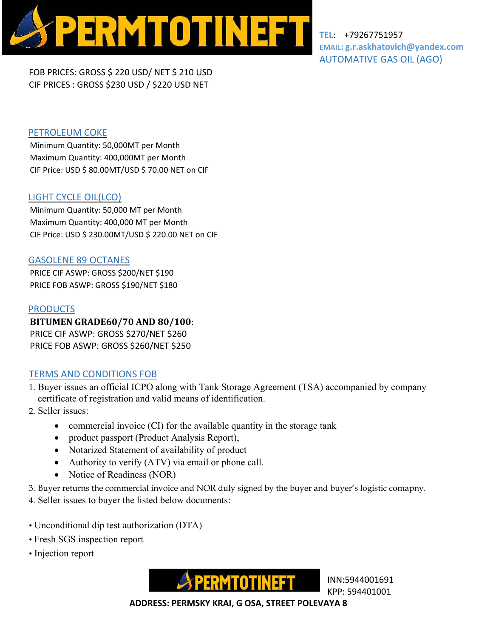

**TEL**: +79267751957 **EMAIL: g.r.askhatovich@yandex.com** AUTOMATIVE GAS OIL (AGO)

FOB PRICES: GROSS \$ 220 USD/ NET \$ 210 USD CIF PRICES : GROSS \$230 USD / \$220 USD NET

## PETROLEUM COKE

Minimum Quantity: 50,000MT per Month Maximum Quantity: 400,000MT per Month CIF Price: USD \$ 80.00MT/USD \$ 70.00 NET on CIF

### LIGHT CYCLE OIL(LCO)

Minimum Quantity: 50,000 MT per Month Maximum Quantity: 400,000 MT per Month CIF Price: USD \$ 230.00MT/USD \$ 220.00 NET on CIF

#### GASOLENE 89 OCTANES

PRICE CIF ASWP: GROSS \$200/NET \$190 PRICE FOB ASWP: GROSS \$190/NET \$180

#### PRODUCTS

**BITUMEN GRADE60/70 AND 80/100**: PRICE CIF ASWP: GROSS \$270/NET \$260 PRICE FOB ASWP: GROSS \$260/NET \$250

# TERMS AND CONDITIONS FOB

1. Buyer issues an official ICPO along with Tank Storage Agreement (TSA) accompanied by company certificate of registration and valid means of identification.

- 2. Seller issues:
	- commercial invoice  $(CI)$  for the available quantity in the storage tank
	- product passport (Product Analysis Report),
	- Notarized Statement of availability of product
	- Authority to verify  $(ATV)$  via email or phone call.
	- Notice of Readiness (NOR)

3. Buyer returns the commercial invoice and NOR duly signed by the buyer and buyer's logistic comapny.

4. Seller issues to buyer the listed below documents:

- Unconditional dip test authorization (DTA)
- Fresh SGS inspection report
- Injection report



KPP: 594401001

 **ADDRESS: PERMSKY KRAI, G OSA, STREET POLEVAYA 8**